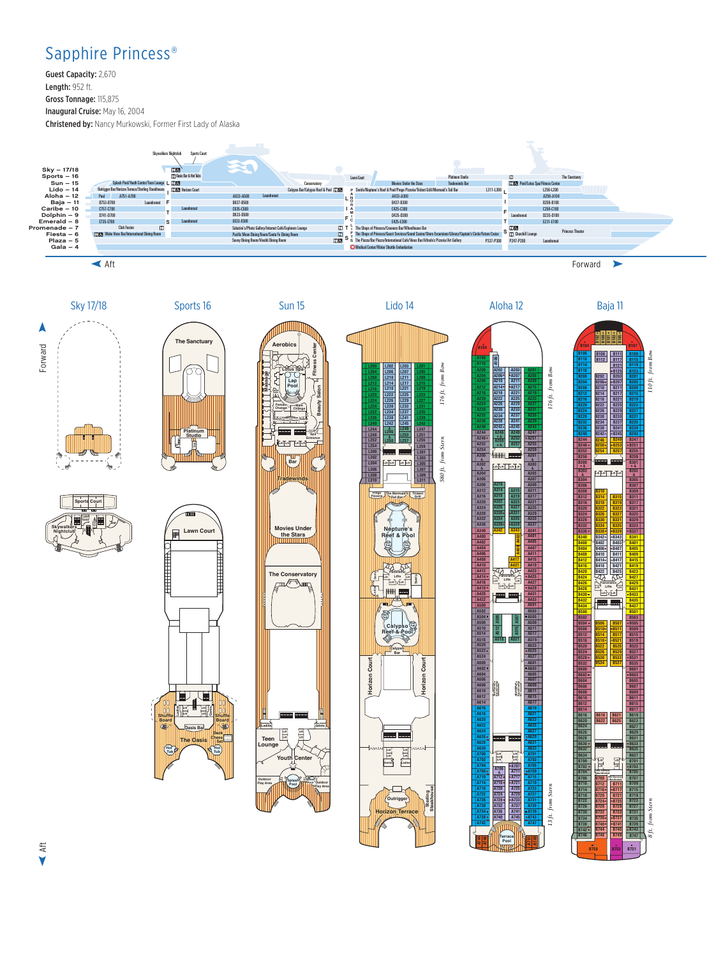## Sapphire Princess®

Guest Capacity: 2,670 Length: 952 ft. Gross Tonnage: 115,875 Inaugural Cruise: May 16, 2004 Christened by: Nancy Murkowski, Former First Lady of Alaska





**B753**